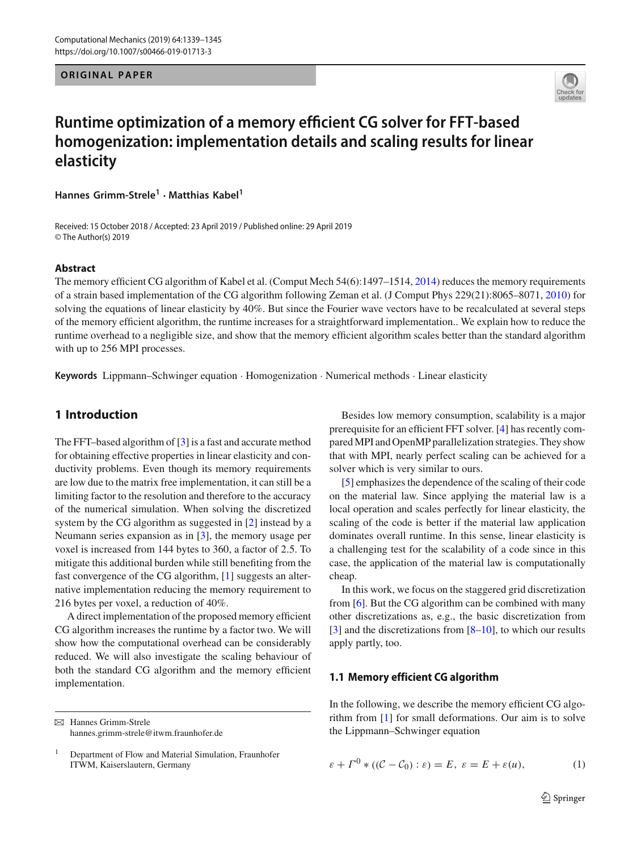**ORIGINAL PAPER**



# **Runtime optimization of a memory efficient CG solver for FFT-based homogenization: implementation details and scaling results for linear elasticity**

**Hannes Grimm-Strele1 · Matthias Kabel1**

Received: 15 October 2018 / Accepted: 23 April 2019 / Published online: 29 April 2019 © The Author(s) 2019

#### **Abstract**

The memory efficient CG algorithm of Kabel et al. (Comput Mech 54(6):1497–1514, [2014\)](#page-5-0) reduces the memory requirements of a strain based implementation of the CG algorithm following Zeman et al. (J Comput Phys 229(21):8065–8071, [2010\)](#page-5-1) for solving the equations of linear elasticity by 40%. But since the Fourier wave vectors have to be recalculated at several steps of the memory efficient algorithm, the runtime increases for a straightforward implementation.. We explain how to reduce the runtime overhead to a negligible size, and show that the memory efficient algorithm scales better than the standard algorithm with up to 256 MPI processes.

**Keywords** Lippmann–Schwinger equation · Homogenization · Numerical methods · Linear elasticity

# **1 Introduction**

The FFT–based algorithm of [\[3\]](#page-5-2) is a fast and accurate method for obtaining effective properties in linear elasticity and conductivity problems. Even though its memory requirements are low due to the matrix free implementation, it can still be a limiting factor to the resolution and therefore to the accuracy of the numerical simulation. When solving the discretized system by the CG algorithm as suggested in [\[2](#page-5-1)] instead by a Neumann series expansion as in [\[3](#page-5-2)], the memory usage per voxel is increased from 144 bytes to 360, a factor of 2.5. To mitigate this additional burden while still benefiting from the fast convergence of the CG algorithm, [\[1](#page-5-0)] suggests an alternative implementation reducing the memory requirement to 216 bytes per voxel, a reduction of 40%.

A direct implementation of the proposed memory efficient CG algorithm increases the runtime by a factor two. We will show how the computational overhead can be considerably reduced. We will also investigate the scaling behaviour of both the standard CG algorithm and the memory efficient implementation.

B Hannes Grimm-Strele hannes.grimm-strele@itwm.fraunhofer.de

Besides low memory consumption, scalability is a major prerequisite for an efficient FFT solver. [\[4](#page-5-3)] has recently comparedMPI and OpenMP parallelization strategies. They show that with MPI, nearly perfect scaling can be achieved for a solver which is very similar to ours.

[\[5\]](#page-5-4) emphasizes the dependence of the scaling of their code on the material law. Since applying the material law is a local operation and scales perfectly for linear elasticity, the scaling of the code is better if the material law application dominates overall runtime. In this sense, linear elasticity is a challenging test for the scalability of a code since in this case, the application of the material law is computationally cheap.

In this work, we focus on the staggered grid discretization from [\[6](#page-5-5)]. But the CG algorithm can be combined with many other discretizations as, e.g., the basic discretization from [\[3](#page-5-2)] and the discretizations from  $[8-10]$  $[8-10]$ , to which our results apply partly, too.

#### **1.1 Memory efficient CG algorithm**

In the following, we describe the memory efficient CG algorithm from [\[1\]](#page-5-0) for small deformations. Our aim is to solve the Lippmann–Schwinger equation

<span id="page-0-0"></span>
$$
\varepsilon + \Gamma^0 * ((\mathcal{C} - \mathcal{C}_0) : \varepsilon) = E, \ \varepsilon = E + \varepsilon(u), \tag{1}
$$

<sup>&</sup>lt;sup>1</sup> Department of Flow and Material Simulation, Fraunhofer ITWM, Kaiserslautern, Germany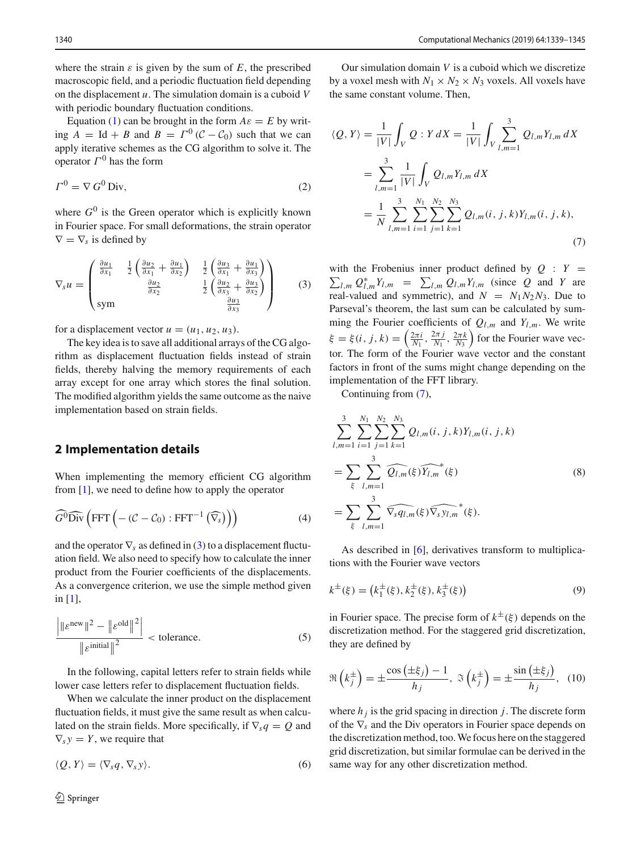where the strain  $\varepsilon$  is given by the sum of  $E$ , the prescribed macroscopic field, and a periodic fluctuation field depending on the displacement *u*. The simulation domain is a cuboid *V* with periodic boundary fluctuation conditions.

Equation [\(1\)](#page-0-0) can be brought in the form  $A\varepsilon = E$  by writing  $\overrightarrow{A}$  = Id + *B* and  $\overrightarrow{B}$  =  $\Gamma^0$  ( $\mathcal{C} - \mathcal{C}_0$ ) such that we can apply iterative schemes as the CG algorithm to solve it. The operator  $\Gamma^0$  has the form

$$
\Gamma^0 = \nabla G^0 \text{Div},\tag{2}
$$

where  $G^0$  is the Green operator which is explicitly known in Fourier space. For small deformations, the strain operator  $\nabla = \nabla_s$  is defined by

<span id="page-1-0"></span>
$$
\nabla_{s} u = \begin{pmatrix} \frac{\partial u_{1}}{\partial x_{1}} & \frac{1}{2} \left( \frac{\partial u_{2}}{\partial x_{1}} + \frac{\partial u_{1}}{\partial x_{2}} \right) & \frac{1}{2} \left( \frac{\partial u_{3}}{\partial x_{1}} + \frac{\partial u_{1}}{\partial x_{3}} \right) \\ \frac{\partial u_{2}}{\partial x_{2}} & \frac{1}{2} \left( \frac{\partial u_{2}}{\partial x_{3}} + \frac{\partial u_{3}}{\partial x_{2}} \right) \\ \text{sym} & \frac{\partial u_{3}}{\partial x_{3}} \end{pmatrix}
$$
(3)

for a displacement vector  $u = (u_1, u_2, u_3)$ .

The key idea is to save all additional arrays of the CG algorithm as displacement fluctuation fields instead of strain fields, thereby halving the memory requirements of each array except for one array which stores the final solution. The modified algorithm yields the same outcome as the naive implementation based on strain fields.

# **2 Implementation details**

When implementing the memory efficient CG algorithm from [\[1](#page-5-0)], we need to define how to apply the operator

$$
\widehat{G^0} \widehat{\text{Div}} \left( \text{FFT} \left( - \left( C - C_0 \right) : \text{FFT}^{-1} \left( \widehat{\nabla_s} \right) \right) \right) \tag{4}
$$

and the operator  $\nabla_s$  as defined in [\(3\)](#page-1-0) to a displacement fluctuation field. We also need to specify how to calculate the inner product from the Fourier coefficients of the displacements. As a convergence criterion, we use the simple method given in [\[1\]](#page-5-0),

<span id="page-1-5"></span>
$$
\frac{\left| \|\varepsilon^{\text{new}}\|^2 - \left\|\varepsilon^{\text{old}}\right\|^2 \right|}{\left\|\varepsilon^{\text{initial}}\right\|^2} < \text{tolerance.} \tag{5}
$$

In the following, capital letters refer to strain fields while lower case letters refer to displacement fluctuation fields.

When we calculate the inner product on the displacement fluctuation fields, it must give the same result as when calculated on the strain fields. More specifically, if  $\nabla_s q = Q$  and  $\nabla_s y = Y$ , we require that

<span id="page-1-2"></span>
$$
\langle Q, Y \rangle = \langle \nabla_s q, \nabla_s y \rangle. \tag{6}
$$

Our simulation domain *V* is a cuboid which we discretize by a voxel mesh with  $N_1 \times N_2 \times N_3$  voxels. All voxels have the same constant volume. Then,

<span id="page-1-1"></span>
$$
\langle Q, Y \rangle = \frac{1}{|V|} \int_{V} Q : Y dX = \frac{1}{|V|} \int_{V} \sum_{l,m=1}^{3} Q_{l,m} Y_{l,m} dX
$$
  
= 
$$
\sum_{l,m=1}^{3} \frac{1}{|V|} \int_{V} Q_{l,m} Y_{l,m} dX
$$
  
= 
$$
\frac{1}{N} \sum_{l,m=1}^{3} \sum_{i=1}^{N_1} \sum_{j=1}^{N_2} \sum_{k=1}^{N_3} Q_{l,m}(i, j, k) Y_{l,m}(i, j, k),
$$
 (7)

with the Frobenius inner product defined by  $Q : Y =$  $\sum_{l,m} Q_{l,m}^* Y_{l,m} = \sum_{l,m} Q_{l,m} Y_{l,m}$  (since *Q* and *Y* are real-valued and symmetric), and  $N = N_1 N_2 N_3$ . Due to Parseval's theorem, the last sum can be calculated by summing the Fourier coefficients of  $Q_{l,m}$  and  $Y_{l,m}$ . We write  $\xi = \xi(i, j, k) = \left(\frac{2\pi i}{N_1}, \frac{2\pi j}{N_1}, \frac{2\pi k}{N_3}\right)$  for the Fourier wave vector. The form of the Fourier wave vector and the constant factors in front of the sums might change depending on the implementation of the FFT library.

Continuing from [\(7\)](#page-1-1),

$$
\sum_{l,m=1}^{3} \sum_{i=1}^{N_1} \sum_{j=1}^{N_2} \sum_{k=1}^{N_3} Q_{l,m}(i, j, k) Y_{l,m}(i, j, k)
$$
  
= 
$$
\sum_{\xi} \sum_{l,m=1}^{3} \widehat{Q_{l,m}}(\xi) \widehat{Y_{l,m}}^*(\xi)
$$
  
= 
$$
\sum_{\xi} \sum_{l,m=1}^{3} \widehat{\nabla_s q_{l,m}}(\xi) \widehat{\nabla_s y_{l,m}}^*(\xi).
$$
 (8)

<span id="page-1-4"></span>As described in [\[6](#page-5-5)], derivatives transform to multiplications with the Fourier wave vectors

$$
k^{\pm}(\xi) = (k_1^{\pm}(\xi), k_2^{\pm}(\xi), k_3^{\pm}(\xi))
$$
\n(9)

<span id="page-1-3"></span>in Fourier space. The precise form of  $k^{\pm}(\xi)$  depends on the discretization method. For the staggered grid discretization, they are defined by

$$
\Re\left(k_j^{\pm}\right) = \pm \frac{\cos\left(\pm \xi_j\right) - 1}{h_j}, \ \Im\left(k_j^{\pm}\right) = \pm \frac{\sin\left(\pm \xi_j\right)}{h_j}, \ \ (10)
$$

where  $h_j$  is the grid spacing in direction  $j$ . The discrete form of the ∇*<sup>s</sup>* and the Div operators in Fourier space depends on the discretization method, too.We focus here on the staggered grid discretization, but similar formulae can be derived in the same way for any other discretization method.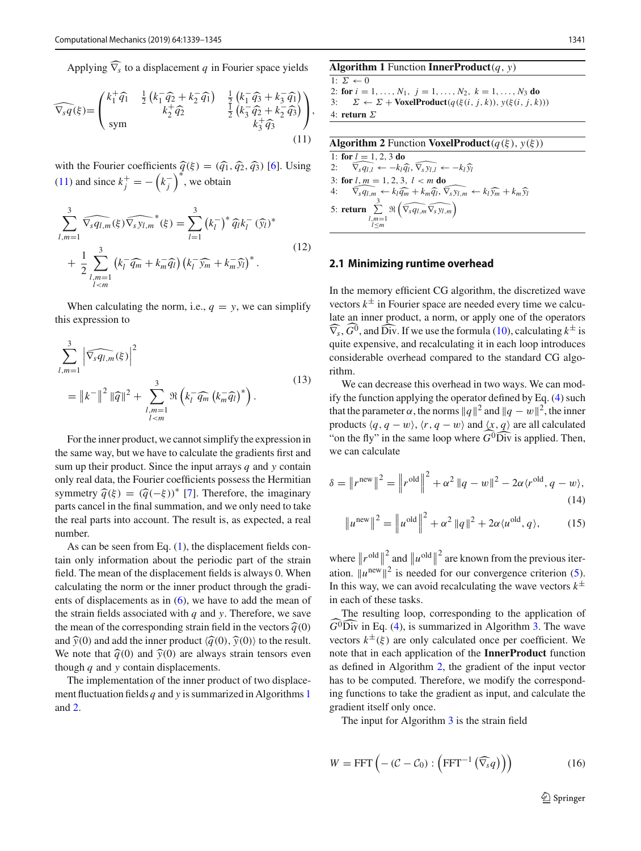Applying  $\nabla_s$  to a displacement *q* in Fourier space yields

$$
\widehat{\nabla_s q}(\xi) = \begin{pmatrix} k_1^+ \widehat{q}_1 & \frac{1}{2} \left( k_1^- \widehat{q}_2 + k_2^- \widehat{q}_1 \right) & \frac{1}{2} \left( k_1^- \widehat{q}_3 + k_3^- \widehat{q}_1 \right) \\ k_2^+ \widehat{q}_2 & \frac{1}{2} \left( k_3^- \widehat{q}_2 + k_2^- \widehat{q}_3 \right) \\ \text{sym} & k_3^+ \widehat{q}_3 \end{pmatrix},
$$
\n(11)

with the Fourier coefficients  $\hat{q}(\xi) = (\hat{q}_1, \hat{q}_2, \hat{q}_3)$  [\[6\]](#page-5-5). Using [\(11\)](#page-2-0) and since  $k_j^+ = -\left(k_j^-\right)^*$ , we obtain

$$
\sum_{l,m=1}^{3} \widehat{\nabla_s q_{l,m}}(\xi) \widehat{\nabla_s y_{l,m}}^*(\xi) = \sum_{l=1}^{3} (k_l^{-})^* \widehat{q}_l k_l^{-} (\widehat{y}_l)^* + \frac{1}{2} \sum_{\substack{l,m=1 \ l\n(12)
$$

<span id="page-2-3"></span>When calculating the norm, i.e.,  $q = y$ , we can simplify this expression to

$$
\sum_{l,m=1}^{3} \left| \widehat{\nabla_s q_{l,m}}(\xi) \right|^2
$$
\n
$$
= \left\| k^{-} \right\|^2 \|\widehat{q}\|^2 + \sum_{\substack{l,m=1 \ l \le m}}^{3} \Re \left( k_l^{-} \widehat{q_m} \left( k_m^{-} \widehat{q_l} \right)^* \right).
$$
\n(13)

For the inner product, we cannot simplify the expression in the same way, but we have to calculate the gradients first and sum up their product. Since the input arrays *q* and *y* contain only real data, the Fourier coefficients possess the Hermitian symmetry  $\hat{q}(\xi) = (\hat{q}(-\xi))^*$  [\[7\]](#page-5-6). Therefore, the imaginary<br>parts cancel in the final summation, and we only need to take parts cancel in the final summation, and we only need to take the real parts into account. The result is, as expected, a real number.

As can be seen from Eq. [\(1\)](#page-0-0), the displacement fields contain only information about the periodic part of the strain field. The mean of the displacement fields is always 0. When calculating the norm or the inner product through the gradients of displacements as in  $(6)$ , we have to add the mean of the strain fields associated with *q* and *y*. Therefore, we save the mean of the corresponding strain field in the vectors  $\hat{q}(0)$ and  $\hat{y}(0)$  and add the inner product  $\langle \hat{q}(0), \hat{y}(0) \rangle$  to the result. We note that  $\hat{q}(0)$  and  $\hat{y}(0)$  are always strain tensors even though *q* and *y* contain displacements.

The implementation of the inner product of two displacement fluctuation fields *q* and *y* is summarized in Algorithms [1](#page-2-1) and [2.](#page-2-2)

# <span id="page-2-1"></span><span id="page-2-0"></span>**Algorithm 1** Function **InnerProduct** $(q, y)$

1:  $\Sigma \leftarrow 0$ 2: **for**  $i = 1, ..., N_1$ ,  $j = 1, ..., N_2$ ,  $k = 1, ..., N_3$  **do**<br>3:  $\Sigma \leftarrow \Sigma + \text{VoxelProduct}(a(E(i, i, k)) \vee (E(i, i, k)))$  $\Sigma \leftarrow \Sigma + \text{VoxelProduct}(q(\xi(i, j, k)), y(\xi(i, j, k)))$ 4: **return** Σ

#### <span id="page-2-2"></span>**Algorithm 2** Function **VoxelProduct** $(q(\xi), y(\xi))$

1: **for**  $l = 1, 2, 3$  **do**<br>2:  $\overline{\nabla_s q_{l,l}} \leftarrow -k_l \hat{i}$ 2:  $\nabla_s q_{l,l} \leftarrow -k_l \widehat{q}_l, \nabla_s y_{l,l} \leftarrow -k_l \widehat{y}_l$ <br>
2. for *l*  $\downarrow$  1.2.2, *l*  $\downarrow$  1.4. 3: **for**  $l, m = 1, 2, 3, l < m$  **do**<br>4:  $\overline{\nabla_s q_{l,m}} \leftarrow k_l \widehat{q_m} + k_m \widehat{q_l}, \overline{\nabla_s}$ 2:  $\overline{\nabla}_s q_{l,l} \leftarrow -k_l \widehat{q}_l, \overline{\nabla}_s y_{l,l} \leftarrow -k_l \widehat{y}_l$ <br>
3: for  $l, m = 1, 2, 3, l < m$  do<br>
4:  $\overline{\nabla}_s q_{l,m} \leftarrow k_l \widehat{q}_m + k_m \widehat{q}_l, \overline{\nabla}_s y_{l,m} \leftarrow k_l \widehat{y}_m + k_m \widehat{y}_l$ <br>
5: return  $\sum_{l=1}^3 \Re\left(\overline{\nabla}_s q_{l,m} \nabla_s y_{l,m}\right$ 5: **return**  $\sum_{ }^{3}$  $\left(\frac{\sum_{l,m=1}^{S} \Re\left(\widehat{\nabla_s q_{l,m}} \widehat{\nabla_s y_{l,m}}\right)}{l \leq m}\right)$ 

#### **2.1 Minimizing runtime overhead**

In the memory efficient CG algorithm, the discretized wave vectors  $k^{\pm}$  in Fourier space are needed every time we calculate an inner product, a norm, or apply one of the operators  $\widehat{\nabla_s}$ ,  $G^0$ , and  $\widehat{\text{Div}}$ . If we use the formula ([10\)](#page-1-3), calculating  $k^{\pm}$  is  $v_s$ ,  $\sigma$ , and  $Dv$ . If we use the formula (10), calculating  $\kappa$  is quite expensive, and recalculating it in each loop introduces considerable overhead compared to the standard CG algorithm.

We can decrease this overhead in two ways. We can modify the function applying the operator defined by Eq. [\(4\)](#page-1-4) such that the parameter  $\alpha$ , the norms  $\|q\|^2$  and  $\|q - w\|^2$ , the inner products  $\langle q, q - w \rangle$ ,  $\langle r, q - w \rangle$  and  $\langle x, q \rangle$  are all calculated "on the fly" in the same loop where  $G^0\overline{\text{Div}}$  is applied. Then, we can calculate

$$
\delta = \|r^{\text{new}}\|^2 = \left\|r^{\text{old}}\right\|^2 + \alpha^2 \|q - w\|^2 - 2\alpha \langle r^{\text{old}}, q - w \rangle, \tag{14}
$$

$$
\|u^{\text{new}}\|^2 = \left\|u^{\text{old}}\right\|^2 + \alpha^2 \|q\|^2 + 2\alpha \langle u^{\text{old}}, q \rangle,\tag{15}
$$

where  $\left\|r^{\text{old}}\right\|^2$  and  $\left\|u^{\text{old}}\right\|^2$  are known from the previous iteration.  $||u^{new}||^2$  is needed for our convergence criterion [\(5\)](#page-1-5). In this way, we can avoid recalculating the wave vectors  $k^{\pm}$ in each of these tasks.

The resulting loop, corresponding to the application of  $G^{0}$ Div in Eq. ([4\)](#page-1-4), is summarized in Algorithm [3.](#page-3-0) The wave vectors  $k^{\pm}(\xi)$  are only calculated once per coefficient. We note that in each application of the **InnerProduct** function as defined in Algorithm [2,](#page-2-2) the gradient of the input vector has to be computed. Therefore, we modify the corresponding functions to take the gradient as input, and calculate the gradient itself only once.

The input for Algorithm [3](#page-3-0) is the strain field

$$
W = \text{FFT}\left(-\left(\mathcal{C} - \mathcal{C}_0\right) : \left(\text{FFT}^{-1}\left(\widehat{\nabla_s q}\right)\right)\right) \tag{16}
$$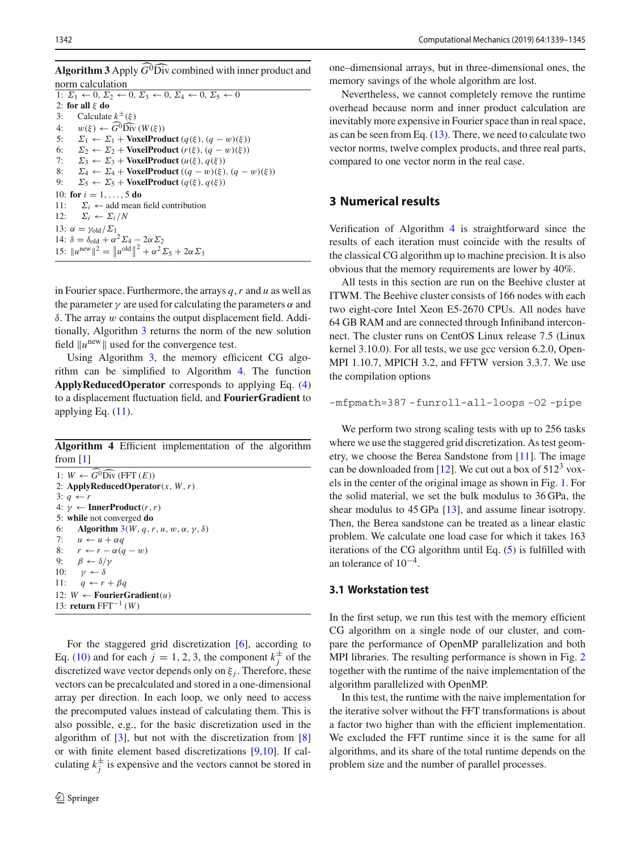<span id="page-3-0"></span>**Algorithm 3** Apply  $G^0$ Div combined with inner product and norm calculation

1:  $\Sigma_1 \leftarrow 0$ ,  $\Sigma_2 \leftarrow 0$ ,  $\Sigma_3 \leftarrow 0$ ,  $\Sigma_4 \leftarrow 0$ ,  $\Sigma_5 \leftarrow 0$ 2: **for all** ξ **do** 3: Calculate  $k^{\pm}(\xi)$ 4:  $w(\xi) \leftarrow G^0 \widehat{\text{Div}}(W(\xi))$ 5:  $\Sigma_1 \leftarrow \Sigma_1 + \text{VoxelProduct}(q(\xi), (q - w)(\xi))$ <br>6:  $\Sigma_2 \leftarrow \Sigma_2 + \text{VoxelProduct}(r(\xi), (q - w)(\xi))$ 6:  $\Sigma_2 \leftarrow \Sigma_2 + \text{VoxelProduct}(r(\xi), (q - w)(\xi))$ <br>7:  $\Sigma_3 \leftarrow \Sigma_3 + \text{VoxelProduct}(u(\xi), a(\xi))$ 7:  $\Sigma_3 \leftarrow \Sigma_3 + \text{VoxellProduct}(u(\xi), q(\xi))$ <br>8:  $\Sigma_4 \leftarrow \Sigma_4 + \text{VoxellProduct}( (a - w)(\xi))$ 8:  $\Sigma_4 \leftarrow \Sigma_4 + \text{VoxelProduct} ((q - w)(\xi), (q - w)(\xi))$ <br>9:  $\Sigma_5 \leftarrow \Sigma_5 + \text{VoxelProduct} (q(\xi), q(\xi))$  $\Sigma_5 \leftarrow \Sigma_5 + \text{VoxelProduct}(q(\xi), q(\xi))$ 10: **for**  $i = 1, ..., 5$  **do**<br>11:  $\Sigma_i \leftarrow$  add mean 11:  $\Sigma_i \leftarrow$  add mean field contribution<br>12:  $\Sigma_i \leftarrow \Sigma_i / N$  $\Sigma_i \leftarrow \Sigma_i / N$ 13:  $\alpha = \gamma_{\text{old}} / \Sigma_1$ 14:  $\delta = \delta_{\text{old}} + \alpha^2 \Sigma_4 - 2\alpha \Sigma_2$ 15:  $||u^{new}||^2 = ||u^{old}||^2 + \alpha^2 \Sigma_5 + 2\alpha \Sigma_3$ 

in Fourier space. Furthermore, the arrays *q*,*r* and *u* as well as the parameter  $\gamma$  are used for calculating the parameters  $\alpha$  and δ. The array w contains the output displacement field. Additionally, Algorithm [3](#page-3-0) returns the norm of the new solution field  $||u^{new}||$  used for the convergence test.

Using Algorithm [3,](#page-3-0) the memory efficicent CG algorithm can be simplified to Algorithm [4.](#page-3-1) The function **ApplyReducedOperator** corresponds to applying Eq. [\(4\)](#page-1-4) to a displacement fluctuation field, and **FourierGradient** to applying Eq. [\(11\)](#page-2-0).

<span id="page-3-1"></span>**Algorithm 4** Efficient implementation of the algorithm from [\[1](#page-5-0)]

1:  $W \leftarrow G^0 \widehat{\text{Div}} (\text{FFT}(E))$ <br>
2. ApplyDeducedOpenets 2: **ApplyReducedOperator** $(x, W, r)$ 3:  $q \leftarrow r$ 4:  $\gamma \leftarrow \text{InnerProduct}(r, r)$ 5: **while** not converged **do** 6: **Algorithm**  $3(W, q, r, u, w, \alpha, \gamma, \delta)$  $3(W, q, r, u, w, \alpha, \gamma, \delta)$ 7:  $u \leftarrow u + \alpha q$ <br>8:  $r \leftarrow r - \alpha(q)$ 8:  $r \leftarrow r - \alpha (q - w)$ <br>9:  $\beta \leftarrow \delta/\nu$ 9:  $\beta \leftarrow \delta/\gamma$ <br>10:  $\gamma \leftarrow \delta$ 10:  $\gamma \leftarrow \delta$ <br>11:  $q \leftarrow r$  $q \leftarrow r + \beta q$ 12:  $W \leftarrow$  **FourierGradient**(*u*) 13: **return** FFT−<sup>1</sup> (*W*)

For the staggered grid discretization [\[6](#page-5-5)], according to Eq. [\(10\)](#page-1-3) and for each  $j = 1, 2, 3$ , the component  $k_j^{\pm}$  of the discretized wave vector depends only on  $\xi_i$ . Therefore, these vectors can be precalculated and stored in a one-dimensional array per direction. In each loop, we only need to access the precomputed values instead of calculating them. This is also possible, e.g., for the basic discretization used in the algorithm of  $[3]$ , but not with the discretization from  $[8]$ or with finite element based discretizations [\[9](#page-6-2)[,10\]](#page-6-1). If calculating  $k_j^{\pm}$  is expensive and the vectors cannot be stored in

one–dimensional arrays, but in three-dimensional ones, the memory savings of the whole algorithm are lost.

Nevertheless, we cannot completely remove the runtime overhead because norm and inner product calculation are inevitably more expensive in Fourier space than in real space, as can be seen from Eq.  $(13)$ . There, we need to calculate two vector norms, twelve complex products, and three real parts, compared to one vector norm in the real case.

# **3 Numerical results**

Verification of Algorithm [4](#page-3-1) is straightforward since the results of each iteration must coincide with the results of the classical CG algorithm up to machine precision. It is also obvious that the memory requirements are lower by 40%.

All tests in this section are run on the Beehive cluster at ITWM. The Beehive cluster consists of 166 nodes with each two eight-core Intel Xeon E5-2670 CPUs. All nodes have 64 GB RAM and are connected through Infiniband interconnect. The cluster runs on CentOS Linux release 7.5 (Linux kernel 3.10.0). For all tests, we use gcc version 6.2.0, Open-MPI 1.10.7, MPICH 3.2, and FFTW version 3.3.7. We use the compilation options

-mfpmath=387 -funroll-all-loops -O2 -pipe

We perform two strong scaling tests with up to 256 tasks where we use the staggered grid discretization. As test geometry, we choose the Berea Sandstone from [\[11\]](#page-6-3). The image can be downloaded from [\[12\]](#page-6-4). We cut out a box of  $512<sup>3</sup>$  voxels in the center of the original image as shown in Fig. [1.](#page-4-0) For the solid material, we set the bulk modulus to 36 GPa, the shear modulus to 45 GPa [\[13\]](#page-6-5), and assume linear isotropy. Then, the Berea sandstone can be treated as a linear elastic problem. We calculate one load case for which it takes 163 iterations of the CG algorithm until Eq. [\(5\)](#page-1-5) is fulfilled with an tolerance of  $10^{-4}$ .

#### <span id="page-3-2"></span>**3.1 Workstation test**

In the first setup, we run this test with the memory efficient CG algorithm on a single node of our cluster, and compare the performance of OpenMP parallelization and both MPI libraries. The resulting performance is shown in Fig. [2](#page-4-1) together with the runtime of the naive implementation of the algorithm parallelized with OpenMP.

In this test, the runtime with the naive implementation for the iterative solver without the FFT transformations is about a factor two higher than with the efficient implementation. We excluded the FFT runtime since it is the same for all algorithms, and its share of the total runtime depends on the problem size and the number of parallel processes.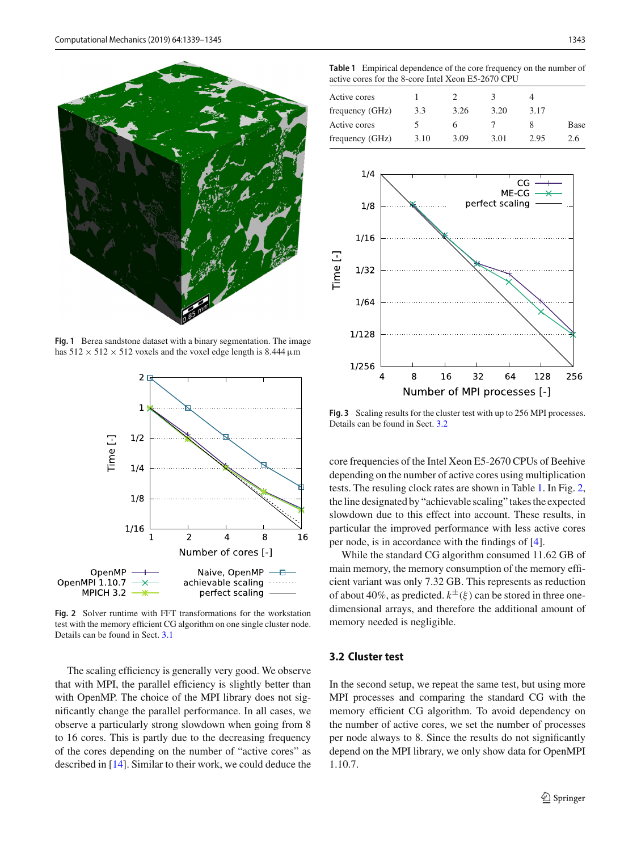

<span id="page-4-0"></span>**Fig. 1** Berea sandstone dataset with a binary segmentation. The image has  $512 \times 512 \times 512$  voxels and the voxel edge length is 8.444  $\mu$ m



<span id="page-4-1"></span>**Fig. 2** Solver runtime with FFT transformations for the workstation test with the memory efficient CG algorithm on one single cluster node. Details can be found in Sect. [3.1](#page-3-2)

The scaling efficiency is generally very good. We observe that with MPI, the parallel efficiency is slightly better than with OpenMP. The choice of the MPI library does not significantly change the parallel performance. In all cases, we observe a particularly strong slowdown when going from 8 to 16 cores. This is partly due to the decreasing frequency of the cores depending on the number of "active cores" as described in [\[14](#page-6-6)]. Similar to their work, we could deduce the

<span id="page-4-3"></span>**Table 1** Empirical dependence of the core frequency on the number of active cores for the 8-core Intel Xeon E5-2670 CPU

| Active cores    |      |      |      |      |      |
|-----------------|------|------|------|------|------|
| frequency (GHz) | 3.3  | 3.26 | 3.20 | 3.17 |      |
| Active cores    |      | h    |      |      | Base |
| frequency (GHz) | 3.10 | 3.09 | 3.01 | 2.95 | 2.6  |
|                 |      |      |      |      |      |



<span id="page-4-4"></span>**Fig. 3** Scaling results for the cluster test with up to 256 MPI processes. Details can be found in Sect. [3.2](#page-4-2)

core frequencies of the Intel Xeon E5-2670 CPUs of Beehive depending on the number of active cores using multiplication tests. The resuling clock rates are shown in Table [1.](#page-4-3) In Fig. [2,](#page-4-1) the line designated by "achievable scaling" takes the expected slowdown due to this effect into account. These results, in particular the improved performance with less active cores per node, is in accordance with the findings of [\[4\]](#page-5-3).

While the standard CG algorithm consumed 11.62 GB of main memory, the memory consumption of the memory efficient variant was only 7.32 GB. This represents as reduction of about 40%, as predicted.  $k^{\pm}(\xi)$  can be stored in three onedimensional arrays, and therefore the additional amount of memory needed is negligible.

# <span id="page-4-2"></span>**3.2 Cluster test**

In the second setup, we repeat the same test, but using more MPI processes and comparing the standard CG with the memory efficient CG algorithm. To avoid dependency on the number of active cores, we set the number of processes per node always to 8. Since the results do not significantly depend on the MPI library, we only show data for OpenMPI 1.10.7.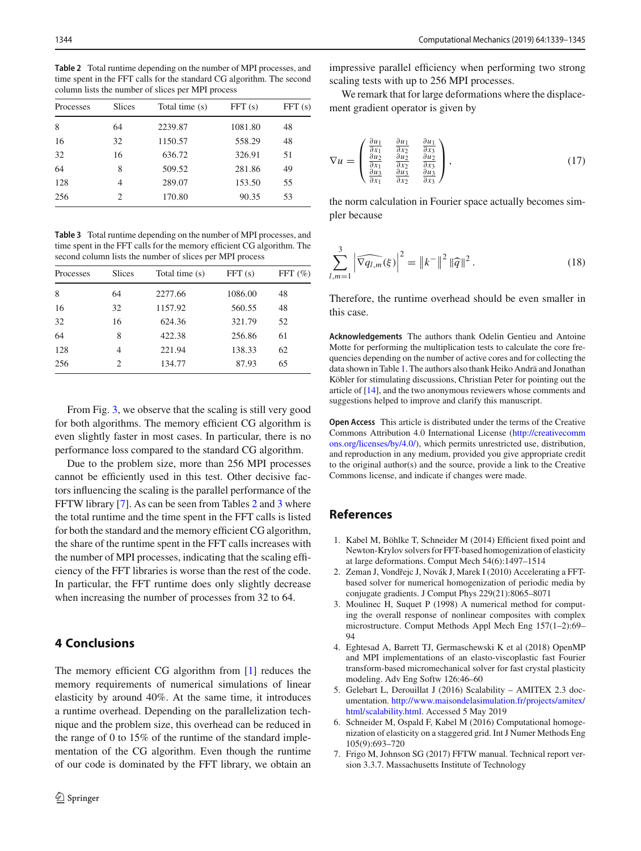1344 Computational Mechanics (2019) 64:1339–1345

<span id="page-5-7"></span>**Table 2** Total runtime depending on the number of MPI processes, and time spent in the FFT calls for the standard CG algorithm. The second column lists the number of slices per MPI process

| Processes | <b>Slices</b>  | Total time (s) | FFT(s)  | FFT(s) |
|-----------|----------------|----------------|---------|--------|
| 8         | 64             | 2239.87        | 1081.80 | 48     |
| 16        | 32             | 1150.57        | 558.29  | 48     |
| 32        | 16             | 636.72         | 326.91  | 51     |
| 64        | 8              | 509.52         | 281.86  | 49     |
| 128       | 4              | 289.07         | 153.50  | 55     |
| 256       | $\mathfrak{D}$ | 170.80         | 90.35   | 53     |
|           |                |                |         |        |

<span id="page-5-8"></span>**Table 3** Total runtime depending on the number of MPI processes, and time spent in the FFT calls for the memory efficient CG algorithm. The second column lists the number of slices per MPI process

| Processes | <b>Slices</b>               | Total time (s) | FFT(s)  | FFT $(\% )$ |
|-----------|-----------------------------|----------------|---------|-------------|
| 8         | 64                          | 2277.66        | 1086.00 | 48          |
| 16        | 32                          | 1157.92        | 560.55  | 48          |
| 32        | 16                          | 624.36         | 321.79  | 52          |
| 64        | 8                           | 422.38         | 256.86  | 61          |
| 128       | 4                           | 221.94         | 138.33  | 62          |
| 256       | $\mathcal{D}_{\mathcal{L}}$ | 134.77         | 87.93   | 65          |

From Fig. [3,](#page-4-4) we observe that the scaling is still very good for both algorithms. The memory efficient CG algorithm is even slightly faster in most cases. In particular, there is no performance loss compared to the standard CG algorithm.

Due to the problem size, more than 256 MPI processes cannot be efficiently used in this test. Other decisive factors influencing the scaling is the parallel performance of the FFTW library [\[7\]](#page-5-6). As can be seen from Tables [2](#page-5-7) and [3](#page-5-8) where the total runtime and the time spent in the FFT calls is listed for both the standard and the memory efficient CG algorithm, the share of the runtime spent in the FFT calls increases with the number of MPI processes, indicating that the scaling efficiency of the FFT libraries is worse than the rest of the code. In particular, the FFT runtime does only slightly decrease when increasing the number of processes from 32 to 64.

# **4 Conclusions**

The memory efficient CG algorithm from [\[1\]](#page-5-0) reduces the memory requirements of numerical simulations of linear elasticity by around 40%. At the same time, it introduces a runtime overhead. Depending on the parallelization technique and the problem size, this overhead can be reduced in the range of 0 to 15% of the runtime of the standard implementation of the CG algorithm. Even though the runtime of our code is dominated by the FFT library, we obtain an impressive parallel efficiency when performing two strong scaling tests with up to 256 MPI processes.

We remark that for large deformations where the displacement gradient operator is given by

$$
\nabla u = \begin{pmatrix} \frac{\partial u_1}{\partial x_1} & \frac{\partial u_1}{\partial x_2} & \frac{\partial u_1}{\partial x_3} \\ \frac{\partial u_2}{\partial x_1} & \frac{\partial u_2}{\partial x_2} & \frac{\partial u_2}{\partial x_3} \\ \frac{\partial u_3}{\partial x_1} & \frac{\partial u_3}{\partial x_2} & \frac{\partial u_3}{\partial x_3} \end{pmatrix},
$$
(17)

the norm calculation in Fourier space actually becomes simpler because

$$
\sum_{l,m=1}^{3} \left| \widehat{\nabla q_{l,m}}(\xi) \right|^2 = \left\| k^{-} \right\|^2 \|\widehat{q}\|^2. \tag{18}
$$

Therefore, the runtime overhead should be even smaller in this case.

**Acknowledgements** The authors thank Odelin Gentieu and Antoine Motte for performing the multiplication tests to calculate the core frequencies depending on the number of active cores and for collecting the data shown in Table [1.](#page-4-3) The authors also thank Heiko Andrä and Jonathan Köbler for stimulating discussions, Christian Peter for pointing out the article of [\[14](#page-6-6)], and the two anonymous reviewers whose comments and suggestions helped to improve and clarify this manuscript.

**Open Access** This article is distributed under the terms of the Creative Commons Attribution 4.0 International License [\(http://creativecomm](http://creativecommons.org/licenses/by/4.0/) [ons.org/licenses/by/4.0/\)](http://creativecommons.org/licenses/by/4.0/), which permits unrestricted use, distribution, and reproduction in any medium, provided you give appropriate credit to the original author(s) and the source, provide a link to the Creative Commons license, and indicate if changes were made.

# **References**

- <span id="page-5-0"></span>1. Kabel M, Böhlke T, Schneider M (2014) Efficient fixed point and Newton-Krylov solvers for FFT-based homogenization of elasticity at large deformations. Comput Mech 54(6):1497–1514
- <span id="page-5-1"></span>Zeman J, Vondřejc J, Novák J, Marek I (2010) Accelerating a FFTbased solver for numerical homogenization of periodic media by conjugate gradients. J Comput Phys 229(21):8065–8071
- <span id="page-5-2"></span>3. Moulinec H, Suquet P (1998) A numerical method for computing the overall response of nonlinear composites with complex microstructure. Comput Methods Appl Mech Eng 157(1–2):69– 94
- <span id="page-5-3"></span>4. Eghtesad A, Barrett TJ, Germaschewski K et al (2018) OpenMP and MPI implementations of an elasto-viscoplastic fast Fourier transform-based micromechanical solver for fast crystal plasticity modeling. Adv Eng Softw 126:46–60
- <span id="page-5-4"></span>5. Gelebart L, Derouillat J (2016) Scalability – AMITEX 2.3 documentation. [http://www.maisondelasimulation.fr/projects/amitex/](http://www.maisondelasimulation.fr/projects/amitex/html/scalability.html) [html/scalability.html.](http://www.maisondelasimulation.fr/projects/amitex/html/scalability.html) Accessed 5 May 2019
- <span id="page-5-5"></span>6. Schneider M, Ospald F, Kabel M (2016) Computational homogenization of elasticity on a staggered grid. Int J Numer Methods Eng 105(9):693–720
- <span id="page-5-6"></span>7. Frigo M, Johnson SG (2017) FFTW manual. Technical report version 3.3.7. Massachusetts Institute of Technology